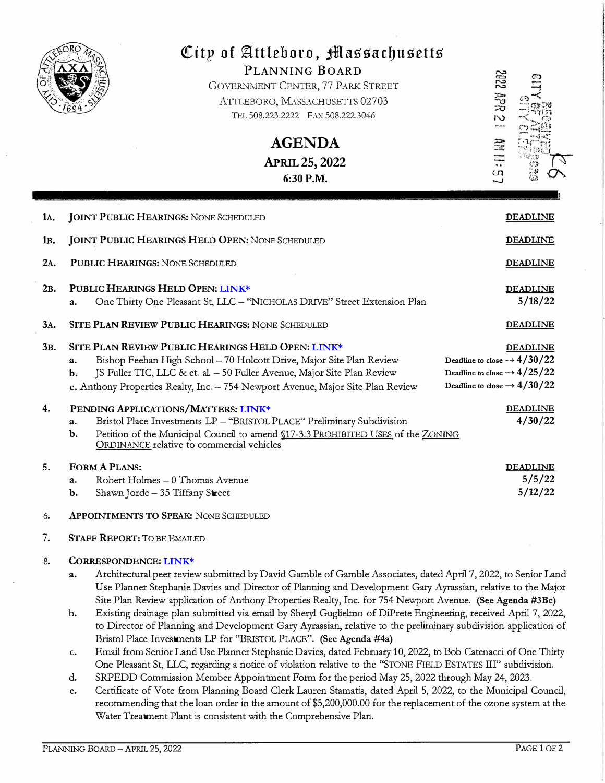

# City of Attleboro, *Massachusetts*

PLANNING BOARD GOVERNMENT CENTER, 77 PARK STREET ATTLEBORO, MASSACHUSETTS 02703 TEL 508.223.2222 FAX 508.222.3046

**AGENDA** 

**APRIL 25, 2022 6:30P.M.** 

2894 298  $\frac{1}{2}$  $\Xi$ 

| 1A.              | <b>JOINT PUBLIC HEARINGS: NONE SCHEDULED</b>                                                                                                                                                                                                                                                        | <b>DEADLINE</b>                                                                                                                                  |
|------------------|-----------------------------------------------------------------------------------------------------------------------------------------------------------------------------------------------------------------------------------------------------------------------------------------------------|--------------------------------------------------------------------------------------------------------------------------------------------------|
| 1 <sub>B</sub> . | <b>JOINT PUBLIC HEARINGS HELD OPEN: NONE SCHEDULED</b>                                                                                                                                                                                                                                              | <b>DEADLINE</b>                                                                                                                                  |
| 2A.              | PUBLIC HEARINGS: NONE SCHEDULED                                                                                                                                                                                                                                                                     | <b>DEADLINE</b>                                                                                                                                  |
| 2B.              | PUBLIC HEARINGS HELD OPEN: LINK*<br>One Thirty One Pleasant St, LLC - "NICHOLAS DRIVE" Street Extension Plan<br>$\mathbf{a}$ .                                                                                                                                                                      | <b>DEADLINE</b><br>5/18/22                                                                                                                       |
| 3A.              | <b>SITE PLAN REVIEW PUBLIC HEARINGS: NONE SCHEDULED</b>                                                                                                                                                                                                                                             | <b>DEADLINE</b>                                                                                                                                  |
| 3B.              | SITE PLAN REVIEW PUBLIC HEARINGS HELD OPEN: LINK*<br>Bishop Feehan High School - 70 Holcott Drive, Major Site Plan Review<br>a.<br>JS Fuller TIC, LLC & et. al. - 50 Fuller Avenue, Major Site Plan Review<br>b.<br>c. Anthony Properties Realty, Inc. - 754 Newport Avenue, Major Site Plan Review | <b>DEADLINE</b><br>Deadline to close $\rightarrow$ 4/30/22<br>Deadline to close $\rightarrow$ 4/25/22<br>Deadline to close $\rightarrow$ 4/30/22 |
| 4.               | PENDING APPLICATIONS/MATTERS: LINK*<br>Bristol Place Investments LP - "BRISTOL PLACE" Preliminary Subdivision<br>$a_{\cdot}$<br>Petition of the Municipal Council to amend \$17-3.3 PROHIBITED USES of the ZONING<br>$\mathbf{b}$ .<br>ORDINANCE relative to commercial vehicles                    | <b>DEADLINE</b><br>4/30/22                                                                                                                       |
| 5.               | <b>FORM A PLANS:</b><br>Robert Holmes - 0 Thomas Avenue<br>$\mathbf{a}$ .<br>Shawn Jorde - 35 Tiffany Street<br>b.                                                                                                                                                                                  | <b>DEADLINE</b><br>5/5/22<br>5/12/22                                                                                                             |
| 6.               | <b>APPOINTMENTS TO SPEAK: NONE SCHEDULED</b>                                                                                                                                                                                                                                                        |                                                                                                                                                  |
| 7.               | <b>STAFF REPORT: TO BE EMAILED</b>                                                                                                                                                                                                                                                                  |                                                                                                                                                  |

# 8. CORRESPONDENCE: **[LINK\\*](https://drive.google.com/drive/folders/1csMkvvUWgc3PHRPHSo1tJuTJHe4w61Ji?usp=sharing)**

- a. Architectural peer review submitted by David Gamble of Gamble Associates, dated April 7, 2022, to Senior Land Use Planner Stephanie Davies and Director of Planning and Development Gary Ayrassian, relative to the Major Site Plan Review application of Anthony Properties Realty, Inc. for 754 Newport Avenue. (See Agenda #3Bc)
- b. Existing drainage plan submitted via email by Sheryl Gugliehno of DiPrete Engineering, received April 7, 2022, to Director of Planning and Development Gary Ayrassian, relative to the preliminary subdivision application of Bristol Place Investments LP for ''BRISTOL PLACE". (See Agenda #4a)
- c. Email from Senior Land Use Planner Stephanie Davies, dated February 10, 2022, to Bob Catenacci of One Thirty One Pleasant St, LLC, regarding a notice of violation relative to the "STONE FIELD ESTATES III" subdivision.
- d. SRPEDD Commission Member Appointment Form for the period May 25, 2022 through May 24, 2023.
- e. Certificate of Vote from Planning Board Clerk Lauren Stamatis, dated April 5, 2022, to the Municipal Council, recommending that the loan order in the amount of \$5,200,000.00 for the replacement of the ozone system at the Water Treatment Plant is consistent with the Comprehensive Plan.